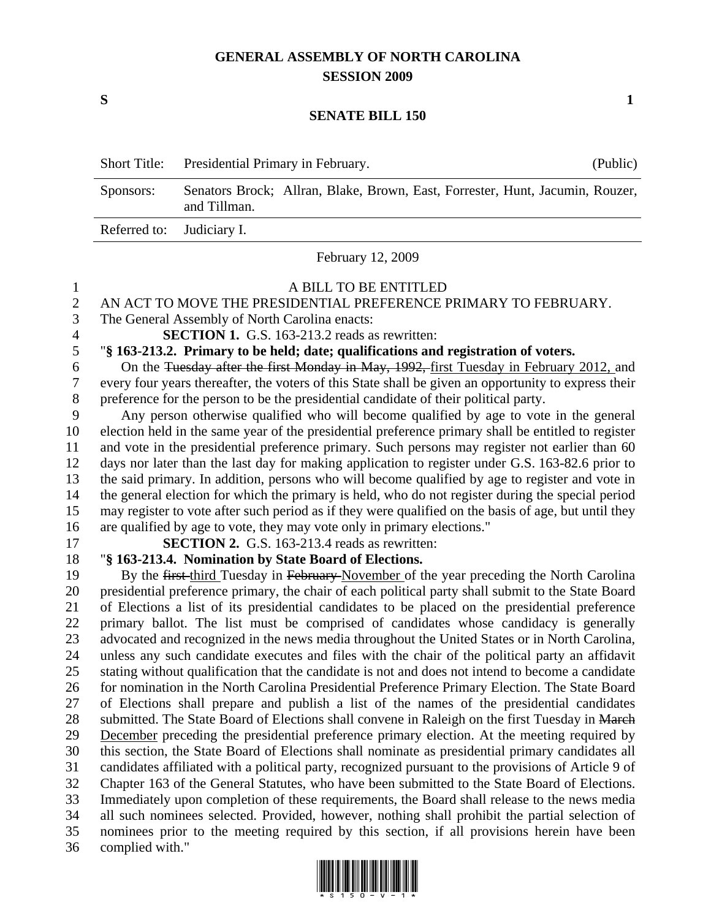# **GENERAL ASSEMBLY OF NORTH CAROLINA SESSION 2009**

 $S$  1

#### **SENATE BILL 150**

|                           | Short Title: Presidential Primary in February.                                                | (Public) |
|---------------------------|-----------------------------------------------------------------------------------------------|----------|
| Sponsors:                 | Senators Brock; Allran, Blake, Brown, East, Forrester, Hunt, Jacumin, Rouzer,<br>and Tillman. |          |
| Referred to: Judiciary I. |                                                                                               |          |

February 12, 2009

## 1 A BILL TO BE ENTITLED

### 2 AN ACT TO MOVE THE PRESIDENTIAL PREFERENCE PRIMARY TO FEBRUARY.

3 The General Assembly of North Carolina enacts:

4 **SECTION 1.** G.S. 163-213.2 reads as rewritten:

## 5 "**§ 163-213.2. Primary to be held; date; qualifications and registration of voters.**

6 On the Tuesday after the first Monday in May, 1992, first Tuesday in February 2012, and 7 every four years thereafter, the voters of this State shall be given an opportunity to express their 8 preference for the person to be the presidential candidate of their political party.

9 Any person otherwise qualified who will become qualified by age to vote in the general 10 election held in the same year of the presidential preference primary shall be entitled to register 11 and vote in the presidential preference primary. Such persons may register not earlier than 60 12 days nor later than the last day for making application to register under G.S. 163-82.6 prior to 13 the said primary. In addition, persons who will become qualified by age to register and vote in 14 the general election for which the primary is held, who do not register during the special period 15 may register to vote after such period as if they were qualified on the basis of age, but until they 16 are qualified by age to vote, they may vote only in primary elections."

17 **SECTION 2.** G.S. 163-213.4 reads as rewritten:

### 18 "**§ 163-213.4. Nomination by State Board of Elections.**

19 By the first-third Tuesday in February-November of the year preceding the North Carolina 20 presidential preference primary, the chair of each political party shall submit to the State Board 21 of Elections a list of its presidential candidates to be placed on the presidential preference 22 primary ballot. The list must be comprised of candidates whose candidacy is generally 23 advocated and recognized in the news media throughout the United States or in North Carolina, 24 unless any such candidate executes and files with the chair of the political party an affidavit 25 stating without qualification that the candidate is not and does not intend to become a candidate 26 for nomination in the North Carolina Presidential Preference Primary Election. The State Board 27 of Elections shall prepare and publish a list of the names of the presidential candidates 28 submitted. The State Board of Elections shall convene in Raleigh on the first Tuesday in March 29 December preceding the presidential preference primary election. At the meeting required by 30 this section, the State Board of Elections shall nominate as presidential primary candidates all 31 candidates affiliated with a political party, recognized pursuant to the provisions of Article 9 of 32 Chapter 163 of the General Statutes, who have been submitted to the State Board of Elections. 33 Immediately upon completion of these requirements, the Board shall release to the news media 34 all such nominees selected. Provided, however, nothing shall prohibit the partial selection of 35 nominees prior to the meeting required by this section, if all provisions herein have been 36 complied with."